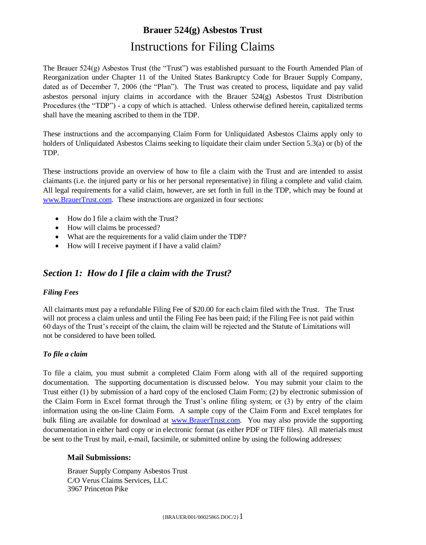The Brauer 524(g) Asbestos Trust (the "Trust") was established pursuant to the Fourth Amended Plan of Reorganization under Chapter 11 of the United States Bankruptcy Code for Brauer Supply Company, dated as of December 7, 2006 (the "Plan"). The Trust was created to process, liquidate and pay valid asbestos personal injury claims in accordance with the Brauer 524(g) Asbestos Trust Distribution Procedures (the "TDP") - a copy of which is attached. Unless otherwise defined herein, capitalized terms shall have the meaning ascribed to them in the TDP.

These instructions and the accompanying Claim Form for Unliquidated Asbestos Claims apply only to holders of Unliquidated Asbestos Claims seeking to liquidate their claim under Section 5.3(a) or (b) of the TDP.

These instructions provide an overview of how to file a claim with the Trust and are intended to assist claimants (i.e. the injured party or his or her personal representative) in filing a complete and valid claim. All legal requirements for a valid claim, however, are set forth in full in the TDP, which may be found at [www.BrauerTrust.com.](http://www.brauertrust.com/) These instructions are organized in four sections:

- How do I file a claim with the Trust?
- How will claims be processed?
- What are the requirements for a valid claim under the TDP?
- How will I receive payment if I have a valid claim?

## *Section 1: How do I file a claim with the Trust?*

### *Filing Fees*

All claimants must pay a refundable Filing Fee of \$20.00 for each claim filed with the Trust. The Trust will not process a claim unless and until the Filing Fee has been paid; if the Filing Fee is not paid within 60 days of the Trust's receipt of the claim, the claim will be rejected and the Statute of Limitations will not be considered to have been tolled.

### *To file a claim*

To file a claim, you must submit a completed Claim Form along with all of the required supporting documentation. The supporting documentation is discussed below. You may submit your claim to the Trust either (1) by submission of a hard copy of the enclosed Claim Form; (2) by electronic submission of the Claim Form in Excel format through the Trust's online filing system; or (3) by entry of the claim information using the on-line Claim Form. A sample copy of the Claim Form and Excel templates for bulk filing are available for download at [www.BrauerTrust.com.](http://www.brauertrust.com/) You may also provide the supporting documentation in either hard copy or in electronic format (as either PDF or TIFF files). All materials must be sent to the Trust by mail, e-mail, facsimile, or submitted online by using the following addresses:

### **Mail Submissions:**

Brauer Supply Company Asbestos Trust C/O Verus Claims Services, LLC 3967 Princeton Pike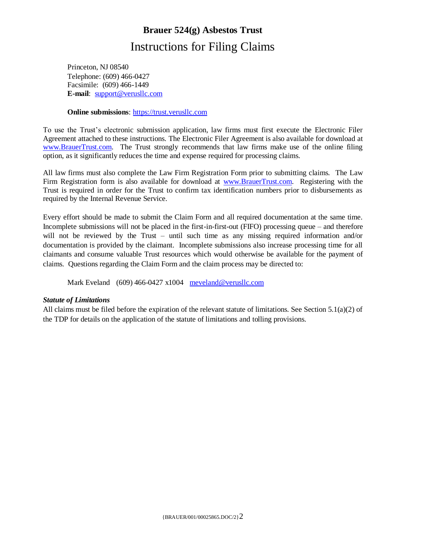Princeton, NJ 08540 Telephone: (609) 466-0427 Facsimile: (609) 466-1449 **E-mail**: [support@verusllc.com](mailto:support@verusllc.com)

#### **Online submissions**: [https://trust.verusllc.com](https://trust.verusllc.com/)

To use the Trust's electronic submission application, law firms must first execute the Electronic Filer Agreement attached to these instructions. The Electronic Filer Agreement is also available for download at [www.BrauerTrust.com.](http://www.brauertrust.com/) The Trust strongly recommends that law firms make use of the online filing option, as it significantly reduces the time and expense required for processing claims.

All law firms must also complete the Law Firm Registration Form prior to submitting claims. The Law Firm Registration form is also available for download at [www.BrauerTrust.com.](http://www.brauertrust.com/) Registering with the Trust is required in order for the Trust to confirm tax identification numbers prior to disbursements as required by the Internal Revenue Service.

Every effort should be made to submit the Claim Form and all required documentation at the same time. Incomplete submissions will not be placed in the first-in-first-out (FIFO) processing queue – and therefore will not be reviewed by the Trust – until such time as any missing required information and/or documentation is provided by the claimant. Incomplete submissions also increase processing time for all claimants and consume valuable Trust resources which would otherwise be available for the payment of claims. Questions regarding the Claim Form and the claim process may be directed to:

Mark Eveland (609) 466-0427 x1004 meveland@verusllc.com

#### *Statute of Limitations*

All claims must be filed before the expiration of the relevant statute of limitations. See Section 5.1(a)(2) of the TDP for details on the application of the statute of limitations and tolling provisions.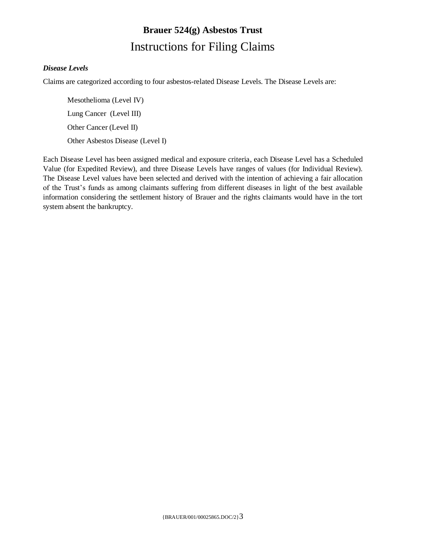## *Disease Levels*

Claims are categorized according to four asbestos-related Disease Levels. The Disease Levels are:

Mesothelioma (Level IV) Lung Cancer (Level III) Other Cancer (Level II) Other Asbestos Disease (Level I)

Each Disease Level has been assigned medical and exposure criteria, each Disease Level has a Scheduled Value (for Expedited Review), and three Disease Levels have ranges of values (for Individual Review). The Disease Level values have been selected and derived with the intention of achieving a fair allocation of the Trust's funds as among claimants suffering from different diseases in light of the best available information considering the settlement history of Brauer and the rights claimants would have in the tort system absent the bankruptcy.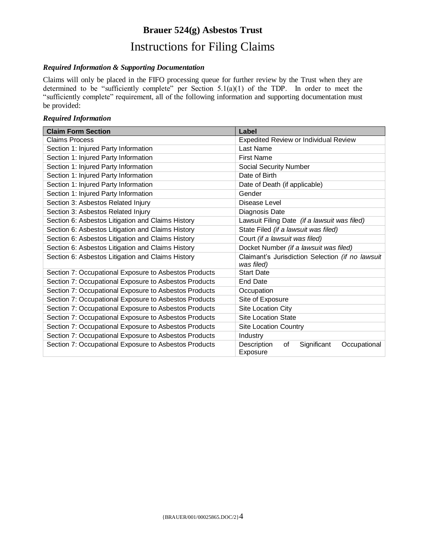#### *Required Information & Supporting Documentation*

Claims will only be placed in the FIFO processing queue for further review by the Trust when they are determined to be "sufficiently complete" per Section 5.1(a)(1) of the TDP. In order to meet the "sufficiently complete" requirement, all of the following information and supporting documentation must be provided:

### *Required Information*

| <b>Claim Form Section</b>                             | Label                                                          |  |  |
|-------------------------------------------------------|----------------------------------------------------------------|--|--|
| <b>Claims Process</b>                                 | <b>Expedited Review or Individual Review</b>                   |  |  |
| Section 1: Injured Party Information                  | Last Name                                                      |  |  |
| Section 1: Injured Party Information                  | <b>First Name</b>                                              |  |  |
| Section 1: Injured Party Information                  | <b>Social Security Number</b>                                  |  |  |
| Section 1: Injured Party Information                  | Date of Birth                                                  |  |  |
| Section 1: Injured Party Information                  | Date of Death (if applicable)                                  |  |  |
| Section 1: Injured Party Information                  | Gender                                                         |  |  |
| Section 3: Asbestos Related Injury                    | Disease Level                                                  |  |  |
| Section 3: Asbestos Related Injury                    | Diagnosis Date                                                 |  |  |
| Section 6: Asbestos Litigation and Claims History     | Lawsuit Filing Date (if a lawsuit was filed)                   |  |  |
| Section 6: Asbestos Litigation and Claims History     | State Filed (if a lawsuit was filed)                           |  |  |
| Section 6: Asbestos Litigation and Claims History     | Court (if a lawsuit was filed)                                 |  |  |
| Section 6: Asbestos Litigation and Claims History     | Docket Number (if a lawsuit was filed)                         |  |  |
| Section 6: Asbestos Litigation and Claims History     | Claimant's Jurisdiction Selection (if no lawsuit<br>was filed) |  |  |
| Section 7: Occupational Exposure to Asbestos Products | <b>Start Date</b>                                              |  |  |
| Section 7: Occupational Exposure to Asbestos Products | <b>End Date</b>                                                |  |  |
| Section 7: Occupational Exposure to Asbestos Products | Occupation                                                     |  |  |
| Section 7: Occupational Exposure to Asbestos Products | Site of Exposure                                               |  |  |
| Section 7: Occupational Exposure to Asbestos Products | <b>Site Location City</b>                                      |  |  |
| Section 7: Occupational Exposure to Asbestos Products | <b>Site Location State</b>                                     |  |  |
| Section 7: Occupational Exposure to Asbestos Products | <b>Site Location Country</b>                                   |  |  |
| Section 7: Occupational Exposure to Asbestos Products | Industry                                                       |  |  |
| Section 7: Occupational Exposure to Asbestos Products | Description<br>Significant<br>Occupational<br>οf<br>Exposure   |  |  |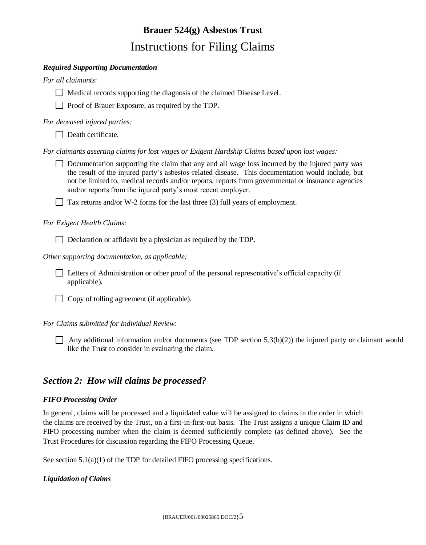#### *Required Supporting Documentation*

*For all claimants*:

 $\Box$  Medical records supporting the diagnosis of the claimed Disease Level.

□ Proof of Brauer Exposure, as required by the TDP.

*For deceased injured parties:*

Death certificate.

*For claimants asserting claims for lost wages or Exigent Hardship Claims based upon lost wages:*

 $\Box$  Documentation supporting the claim that any and all wage loss incurred by the injured party was the result of the injured party's asbestos-related disease. This documentation would include, but not be limited to, medical records and/or reports, reports from governmental or insurance agencies and/or reports from the injured party's most recent employer.

Tax returns and/or W-2 forms for the last three (3) full years of employment.

### *For Exigent Health Claims:*

Declaration or affidavit by a physician as required by the TDP.

*Other supporting documentation, as applicable:*

 Letters of Administration or other proof of the personal representative's official capacity (if applicable).

 $\Box$  Copy of tolling agreement (if applicable).

*For Claims submitted for Individual Review:*

Any additional information and/or documents (see TDP section 5.3(b)(2)) the injured party or claimant would like the Trust to consider in evaluating the claim.

## *Section 2: How will claims be processed?*

### *FIFO Processing Order*

In general, claims will be processed and a liquidated value will be assigned to claims in the order in which the claims are received by the Trust, on a first-in-first-out basis. The Trust assigns a unique Claim ID and FIFO processing number when the claim is deemed sufficiently complete (as defined above). See the Trust Procedures for discussion regarding the FIFO Processing Queue.

See section  $5.1(a)(1)$  of the TDP for detailed FIFO processing specifications.

### *Liquidation of Claims*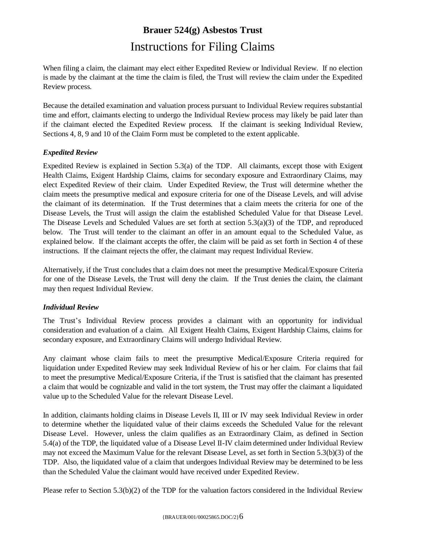When filing a claim, the claimant may elect either Expedited Review or Individual Review. If no election is made by the claimant at the time the claim is filed, the Trust will review the claim under the Expedited Review process.

Because the detailed examination and valuation process pursuant to Individual Review requires substantial time and effort, claimants electing to undergo the Individual Review process may likely be paid later than if the claimant elected the Expedited Review process. If the claimant is seeking Individual Review, Sections 4, 8, 9 and 10 of the Claim Form must be completed to the extent applicable.

## *Expedited Review*

Expedited Review is explained in Section 5.3(a) of the TDP. All claimants, except those with Exigent Health Claims, Exigent Hardship Claims, claims for secondary exposure and Extraordinary Claims, may elect Expedited Review of their claim. Under Expedited Review, the Trust will determine whether the claim meets the presumptive medical and exposure criteria for one of the Disease Levels, and will advise the claimant of its determination. If the Trust determines that a claim meets the criteria for one of the Disease Levels, the Trust will assign the claim the established Scheduled Value for that Disease Level. The Disease Levels and Scheduled Values are set forth at section 5.3(a)(3) of the TDP, and reproduced below. The Trust will tender to the claimant an offer in an amount equal to the Scheduled Value, as explained below. If the claimant accepts the offer, the claim will be paid as set forth in Section 4 of these instructions. If the claimant rejects the offer, the claimant may request Individual Review.

Alternatively, if the Trust concludes that a claim does not meet the presumptive Medical/Exposure Criteria for one of the Disease Levels, the Trust will deny the claim. If the Trust denies the claim, the claimant may then request Individual Review.

## *Individual Review*

The Trust's Individual Review process provides a claimant with an opportunity for individual consideration and evaluation of a claim. All Exigent Health Claims, Exigent Hardship Claims, claims for secondary exposure, and Extraordinary Claims will undergo Individual Review.

Any claimant whose claim fails to meet the presumptive Medical/Exposure Criteria required for liquidation under Expedited Review may seek Individual Review of his or her claim. For claims that fail to meet the presumptive Medical/Exposure Criteria, if the Trust is satisfied that the claimant has presented a claim that would be cognizable and valid in the tort system, the Trust may offer the claimant a liquidated value up to the Scheduled Value for the relevant Disease Level.

In addition, claimants holding claims in Disease Levels II, III or IV may seek Individual Review in order to determine whether the liquidated value of their claims exceeds the Scheduled Value for the relevant Disease Level. However, unless the claim qualifies as an Extraordinary Claim, as defined in Section 5.4(a) of the TDP, the liquidated value of a Disease Level II-IV claim determined under Individual Review may not exceed the Maximum Value for the relevant Disease Level, as set forth in Section 5.3(b)(3) of the TDP. Also, the liquidated value of a claim that undergoes Individual Review may be determined to be less than the Scheduled Value the claimant would have received under Expedited Review.

Please refer to Section 5.3(b)(2) of the TDP for the valuation factors considered in the Individual Review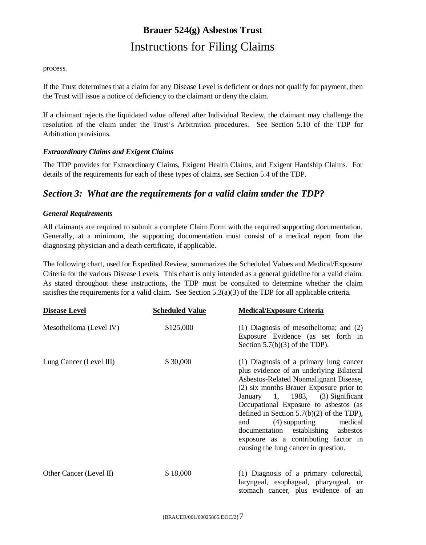#### process.

If the Trust determines that a claim for any Disease Level is deficient or does not qualify for payment, then the Trust will issue a notice of deficiency to the claimant or deny the claim.

If a claimant rejects the liquidated value offered after Individual Review, the claimant may challenge the resolution of the claim under the Trust's Arbitration procedures. See Section 5.10 of the TDP for Arbitration provisions.

### *Extraordinary Claims and Exigent Claims*

The TDP provides for Extraordinary Claims, Exigent Health Claims, and Exigent Hardship Claims. For details of the requirements for each of these types of claims, see Section 5.4 of the TDP.

## *Section 3: What are the requirements for a valid claim under the TDP?*

## *General Requirements*

All claimants are required to submit a complete Claim Form with the required supporting documentation. Generally, at a minimum, the supporting documentation must consist of a medical report from the diagnosing physician and a death certificate, if applicable.

The following chart, used for Expedited Review, summarizes the Scheduled Values and Medical/Exposure Criteria for the various Disease Levels. This chart is only intended as a general guideline for a valid claim. As stated throughout these instructions, the TDP must be consulted to determine whether the claim satisfies the requirements for a valid claim. See Section  $5.3(a)(3)$  of the TDP for all applicable criteria.

| <b>Disease Level</b>    | <b>Scheduled Value</b> | <b>Medical/Exposure Criteria</b>                                                                                                                                                                                                                                                                                                                                                                                                                               |
|-------------------------|------------------------|----------------------------------------------------------------------------------------------------------------------------------------------------------------------------------------------------------------------------------------------------------------------------------------------------------------------------------------------------------------------------------------------------------------------------------------------------------------|
| Mesothelioma (Level IV) | \$125,000              | $(1)$ Diagnosis of mesothelioma; and $(2)$<br>Exposure Evidence (as set forth in<br>Section $5.7(b)(3)$ of the TDP).                                                                                                                                                                                                                                                                                                                                           |
| Lung Cancer (Level III) | \$30,000               | (1) Diagnosis of a primary lung cancer<br>plus evidence of an underlying Bilateral<br>Asbestos-Related Nonmalignant Disease,<br>(2) six months Brauer Exposure prior to<br>January 1, 1983, (3) Significant<br>Occupational Exposure to asbestos (as<br>defined in Section $5.7(b)(2)$ of the TDP),<br>(4) supporting<br>medical<br>and<br>documentation establishing asbestos<br>exposure as a contributing factor in<br>causing the lung cancer in question. |
| Other Cancer (Level II) | \$18,000               | (1) Diagnosis of a primary colorectal,<br>laryngeal, esophageal, pharyngeal, or<br>stomach cancer, plus evidence of an                                                                                                                                                                                                                                                                                                                                         |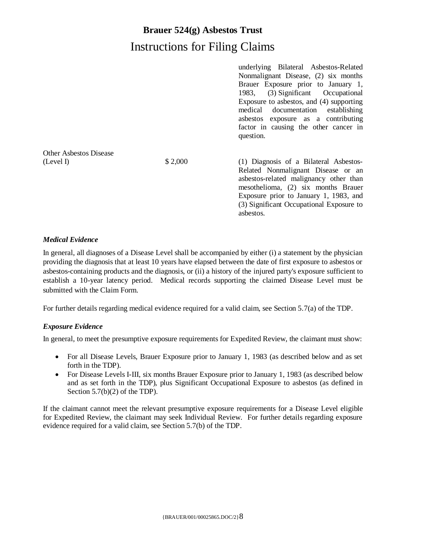|                               |         | underlying Bilateral Asbestos-Related                                         |  |  |
|-------------------------------|---------|-------------------------------------------------------------------------------|--|--|
|                               |         | Nonmalignant Disease, (2) six months                                          |  |  |
|                               |         | Brauer Exposure prior to January 1,                                           |  |  |
|                               |         | (3) Significant Occupational<br>1983,                                         |  |  |
|                               |         | Exposure to asbestos, and (4) supporting                                      |  |  |
|                               |         | medical documentation establishing                                            |  |  |
|                               |         | asbestos exposure as a contributing                                           |  |  |
|                               |         | factor in causing the other cancer in<br>question.                            |  |  |
| <b>Other Aspestos Disease</b> |         |                                                                               |  |  |
| (Level I)                     | \$2,000 | (1) Diagnosis of a Bilateral Asbestos-                                        |  |  |
|                               |         | Related Nonmalignant Disease or an                                            |  |  |
|                               |         | asbestos-related malignancy other than<br>mesothelioma, (2) six months Brauer |  |  |
|                               |         | Exposure prior to January 1, 1983, and                                        |  |  |
|                               |         | (3) Significant Occupational Exposure to                                      |  |  |
|                               |         | asbestos.                                                                     |  |  |

## *Medical Evidence*

In general, all diagnoses of a Disease Level shall be accompanied by either (i) a statement by the physician providing the diagnosis that at least 10 years have elapsed between the date of first exposure to asbestos or asbestos-containing products and the diagnosis, or (ii) a history of the injured party's exposure sufficient to establish a 10-year latency period. Medical records supporting the claimed Disease Level must be submitted with the Claim Form.

For further details regarding medical evidence required for a valid claim, see Section 5.7(a) of the TDP.

## *Exposure Evidence*

In general, to meet the presumptive exposure requirements for Expedited Review, the claimant must show:

- For all Disease Levels, Brauer Exposure prior to January 1, 1983 (as described below and as set forth in the TDP).
- For Disease Levels I-III, six months Brauer Exposure prior to January 1, 1983 (as described below and as set forth in the TDP), plus Significant Occupational Exposure to asbestos (as defined in Section 5.7(b)(2) of the TDP).

If the claimant cannot meet the relevant presumptive exposure requirements for a Disease Level eligible for Expedited Review, the claimant may seek Individual Review. For further details regarding exposure evidence required for a valid claim, see Section 5.7(b) of the TDP.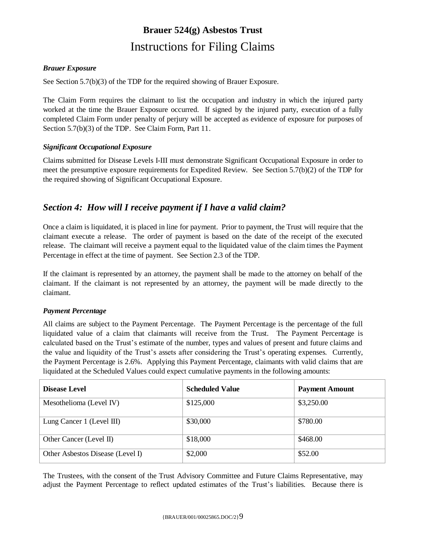## *Brauer Exposure*

See Section 5.7(b)(3) of the TDP for the required showing of Brauer Exposure.

The Claim Form requires the claimant to list the occupation and industry in which the injured party worked at the time the Brauer Exposure occurred. If signed by the injured party, execution of a fully completed Claim Form under penalty of perjury will be accepted as evidence of exposure for purposes of Section 5.7(b)(3) of the TDP. See Claim Form, Part 11.

## *Significant Occupational Exposure*

Claims submitted for Disease Levels I-III must demonstrate Significant Occupational Exposure in order to meet the presumptive exposure requirements for Expedited Review. See Section 5.7(b)(2) of the TDP for the required showing of Significant Occupational Exposure.

## *Section 4: How will I receive payment if I have a valid claim?*

Once a claim is liquidated, it is placed in line for payment. Prior to payment, the Trust will require that the claimant execute a release. The order of payment is based on the date of the receipt of the executed release. The claimant will receive a payment equal to the liquidated value of the claim times the Payment Percentage in effect at the time of payment. See Section 2.3 of the TDP.

If the claimant is represented by an attorney, the payment shall be made to the attorney on behalf of the claimant. If the claimant is not represented by an attorney, the payment will be made directly to the claimant.

### *Payment Percentage*

All claims are subject to the Payment Percentage. The Payment Percentage is the percentage of the full liquidated value of a claim that claimants will receive from the Trust. The Payment Percentage is calculated based on the Trust's estimate of the number, types and values of present and future claims and the value and liquidity of the Trust's assets after considering the Trust's operating expenses. Currently, the Payment Percentage is 2.6%. Applying this Payment Percentage, claimants with valid claims that are liquidated at the Scheduled Values could expect cumulative payments in the following amounts:

| <b>Disease Level</b>             | <b>Scheduled Value</b> | <b>Payment Amount</b> |
|----------------------------------|------------------------|-----------------------|
| Mesothelioma (Level IV)          | \$125,000              | \$3,250.00            |
| Lung Cancer 1 (Level III)        | \$30,000               | \$780.00              |
| Other Cancer (Level II)          | \$18,000               | \$468.00              |
| Other Asbestos Disease (Level I) | \$2,000                | \$52.00               |

The Trustees, with the consent of the Trust Advisory Committee and Future Claims Representative, may adjust the Payment Percentage to reflect updated estimates of the Trust's liabilities. Because there is